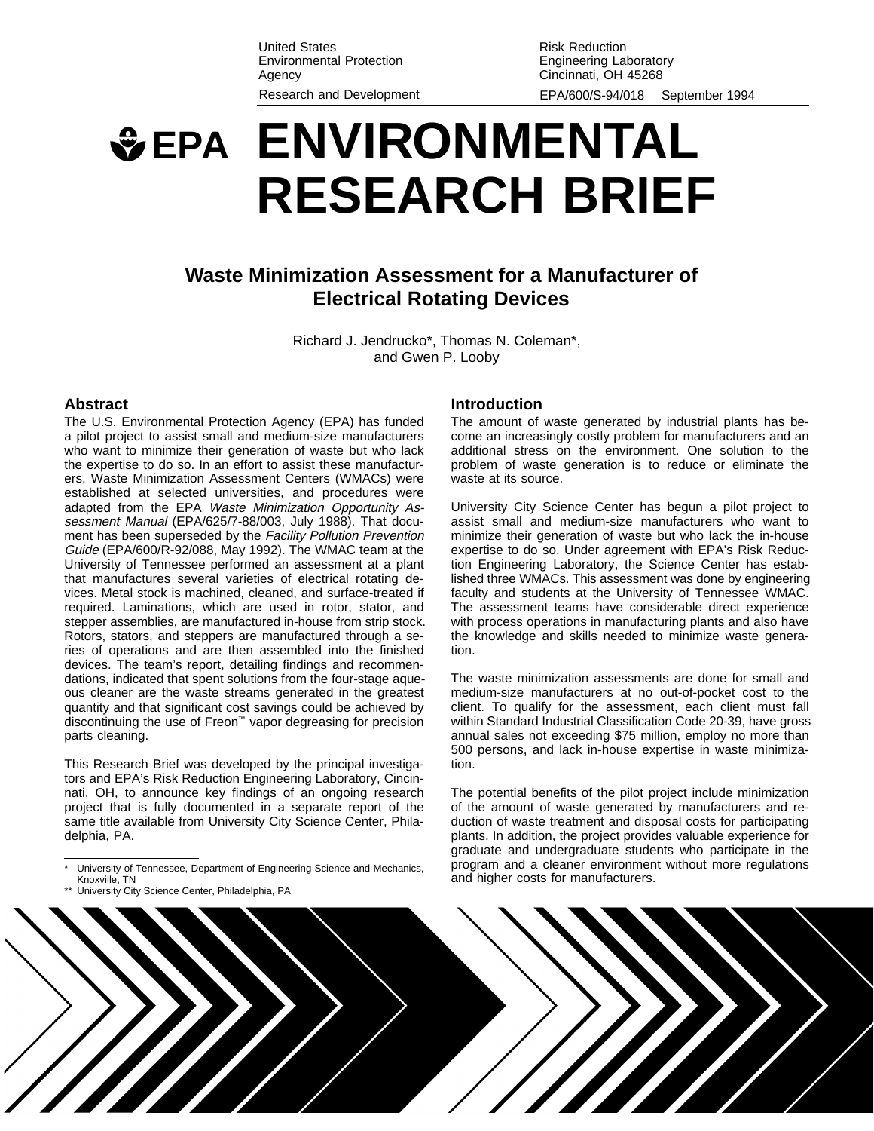United States Environmental Protection Agency Research and Development EPA/600/S-94/018 September 1994

Risk Reduction Engineering Laboratory Cincinnati, OH 45268

# **EPA ENVIRONMENTAL RESEARCH BRIEF**

## **Waste Minimization Assessment for a Manufacturer of Electrical Rotating Devices**

Richard J. Jendrucko\*, Thomas N. Coleman\*, and Gwen P. Looby

#### **Abstract**

The U.S. Environmental Protection Agency (EPA) has funded a pilot project to assist small and medium-size manufacturers who want to minimize their generation of waste but who lack the expertise to do so. In an effort to assist these manufacturers, Waste Minimization Assessment Centers (WMACs) were established at selected universities, and procedures were adapted from the EPA Waste Minimization Opportunity Assessment Manual (EPA/625/7-88/003, July 1988). That document has been superseded by the Facility Pollution Prevention Guide (EPA/600/R-92/088, May 1992). The WMAC team at the University of Tennessee performed an assessment at a plant that manufactures several varieties of electrical rotating devices. Metal stock is machined, cleaned, and surface-treated if required. Laminations, which are used in rotor, stator, and stepper assemblies, are manufactured in-house from strip stock. Rotors, stators, and steppers are manufactured through a series of operations and are then assembled into the finished devices. The team's report, detailing findings and recommendations, indicated that spent solutions from the four-stage aqueous cleaner are the waste streams generated in the greatest quantity and that significant cost savings could be achieved by discontinuing the use of Freon™ vapor degreasing for precision parts cleaning.

This Research Brief was developed by the principal investigators and EPA's Risk Reduction Engineering Laboratory, Cincinnati, OH, to announce key findings of an ongoing research project that is fully documented in a separate report of the same title available from University City Science Center, Philadelphia, PA.

#### **Introduction**

The amount of waste generated by industrial plants has become an increasingly costly problem for manufacturers and an additional stress on the environment. One solution to the problem of waste generation is to reduce or eliminate the waste at its source.

University City Science Center has begun a pilot project to assist small and medium-size manufacturers who want to minimize their generation of waste but who lack the in-house expertise to do so. Under agreement with EPA's Risk Reduction Engineering Laboratory, the Science Center has established three WMACs. This assessment was done by engineering faculty and students at the University of Tennessee WMAC. The assessment teams have considerable direct experience with process operations in manufacturing plants and also have the knowledge and skills needed to minimize waste generation.

The waste minimization assessments are done for small and medium-size manufacturers at no out-of-pocket cost to the client. To qualify for the assessment, each client must fall within Standard Industrial Classification Code 20-39, have gross annual sales not exceeding \$75 million, employ no more than 500 persons, and lack in-house expertise in waste minimization.

The potential benefits of the pilot project include minimization of the amount of waste generated by manufacturers and reduction of waste treatment and disposal costs for participating plants. In addition, the project provides valuable experience for graduate and undergraduate students who participate in the program and a cleaner environment without more regulations and higher costs for manufacturers.



University of Tennessee, Department of Engineering Science and Mechanics, Knoxville, TN

University City Science Center, Philadelphia, PA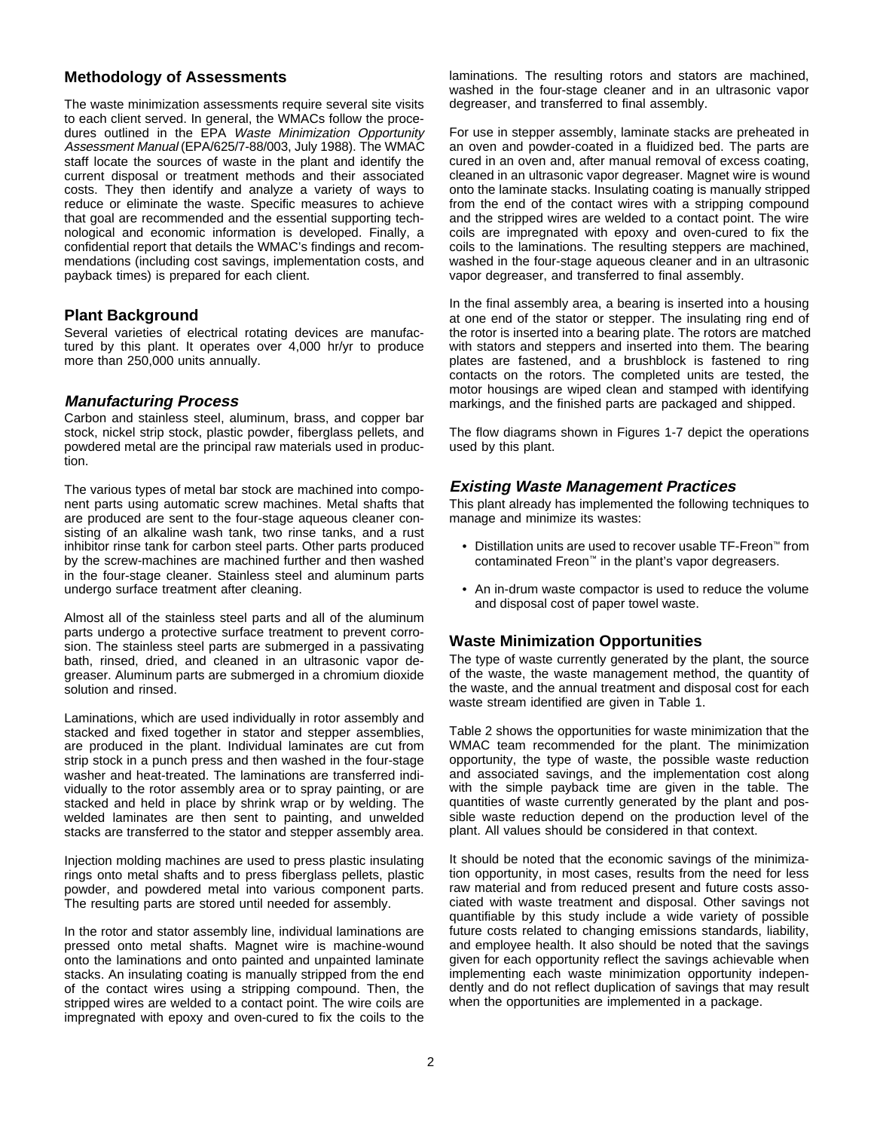## **Methodology of Assessments**

The waste minimization assessments require several site visits to each client served. In general, the WMACs follow the procedures outlined in the EPA Waste Minimization Opportunity Assessment Manual (EPA/625/7-88/003, July 1988). The WMAC staff locate the sources of waste in the plant and identify the current disposal or treatment methods and their associated costs. They then identify and analyze a variety of ways to reduce or eliminate the waste. Specific measures to achieve that goal are recommended and the essential supporting technological and economic information is developed. Finally, a confidential report that details the WMAC's findings and recommendations (including cost savings, implementation costs, and payback times) is prepared for each client.

### **Plant Background**

Several varieties of electrical rotating devices are manufactured by this plant. It operates over 4,000 hr/yr to produce more than 250,000 units annually.

### **Manufacturing Process**

Carbon and stainless steel, aluminum, brass, and copper bar stock, nickel strip stock, plastic powder, fiberglass pellets, and powdered metal are the principal raw materials used in production.

The various types of metal bar stock are machined into component parts using automatic screw machines. Metal shafts that are produced are sent to the four-stage aqueous cleaner consisting of an alkaline wash tank, two rinse tanks, and a rust inhibitor rinse tank for carbon steel parts. Other parts produced by the screw-machines are machined further and then washed in the four-stage cleaner. Stainless steel and aluminum parts undergo surface treatment after cleaning.

Almost all of the stainless steel parts and all of the aluminum parts undergo a protective surface treatment to prevent corrosion. The stainless steel parts are submerged in a passivating bath, rinsed, dried, and cleaned in an ultrasonic vapor degreaser. Aluminum parts are submerged in a chromium dioxide solution and rinsed.

Laminations, which are used individually in rotor assembly and stacked and fixed together in stator and stepper assemblies, are produced in the plant. Individual laminates are cut from strip stock in a punch press and then washed in the four-stage washer and heat-treated. The laminations are transferred individually to the rotor assembly area or to spray painting, or are stacked and held in place by shrink wrap or by welding. The welded laminates are then sent to painting, and unwelded stacks are transferred to the stator and stepper assembly area.

Injection molding machines are used to press plastic insulating rings onto metal shafts and to press fiberglass pellets, plastic powder, and powdered metal into various component parts. The resulting parts are stored until needed for assembly.

In the rotor and stator assembly line, individual laminations are pressed onto metal shafts. Magnet wire is machine-wound onto the laminations and onto painted and unpainted laminate stacks. An insulating coating is manually stripped from the end of the contact wires using a stripping compound. Then, the stripped wires are welded to a contact point. The wire coils are impregnated with epoxy and oven-cured to fix the coils to the

laminations. The resulting rotors and stators are machined, washed in the four-stage cleaner and in an ultrasonic vapor degreaser, and transferred to final assembly.

For use in stepper assembly, laminate stacks are preheated in an oven and powder-coated in a fluidized bed. The parts are cured in an oven and, after manual removal of excess coating, cleaned in an ultrasonic vapor degreaser. Magnet wire is wound onto the laminate stacks. Insulating coating is manually stripped from the end of the contact wires with a stripping compound and the stripped wires are welded to a contact point. The wire coils are impregnated with epoxy and oven-cured to fix the coils to the laminations. The resulting steppers are machined, washed in the four-stage aqueous cleaner and in an ultrasonic vapor degreaser, and transferred to final assembly.

In the final assembly area, a bearing is inserted into a housing at one end of the stator or stepper. The insulating ring end of the rotor is inserted into a bearing plate. The rotors are matched with stators and steppers and inserted into them. The bearing plates are fastened, and a brushblock is fastened to ring contacts on the rotors. The completed units are tested, the motor housings are wiped clean and stamped with identifying markings, and the finished parts are packaged and shipped.

The flow diagrams shown in Figures 1-7 depict the operations used by this plant.

## **Existing Waste Management Practices**

This plant already has implemented the following techniques to manage and minimize its wastes:

- Distillation units are used to recover usable TF-Freon™ from contaminated Freon™ in the plant's vapor degreasers.
- An in-drum waste compactor is used to reduce the volume and disposal cost of paper towel waste.

## **Waste Minimization Opportunities**

The type of waste currently generated by the plant, the source of the waste, the waste management method, the quantity of the waste, and the annual treatment and disposal cost for each waste stream identified are given in Table 1.

Table 2 shows the opportunities for waste minimization that the WMAC team recommended for the plant. The minimization opportunity, the type of waste, the possible waste reduction and associated savings, and the implementation cost along with the simple payback time are given in the table. The quantities of waste currently generated by the plant and possible waste reduction depend on the production level of the plant. All values should be considered in that context.

It should be noted that the economic savings of the minimization opportunity, in most cases, results from the need for less raw material and from reduced present and future costs associated with waste treatment and disposal. Other savings not quantifiable by this study include a wide variety of possible future costs related to changing emissions standards, liability, and employee health. It also should be noted that the savings given for each opportunity reflect the savings achievable when implementing each waste minimization opportunity independently and do not reflect duplication of savings that may result when the opportunities are implemented in a package.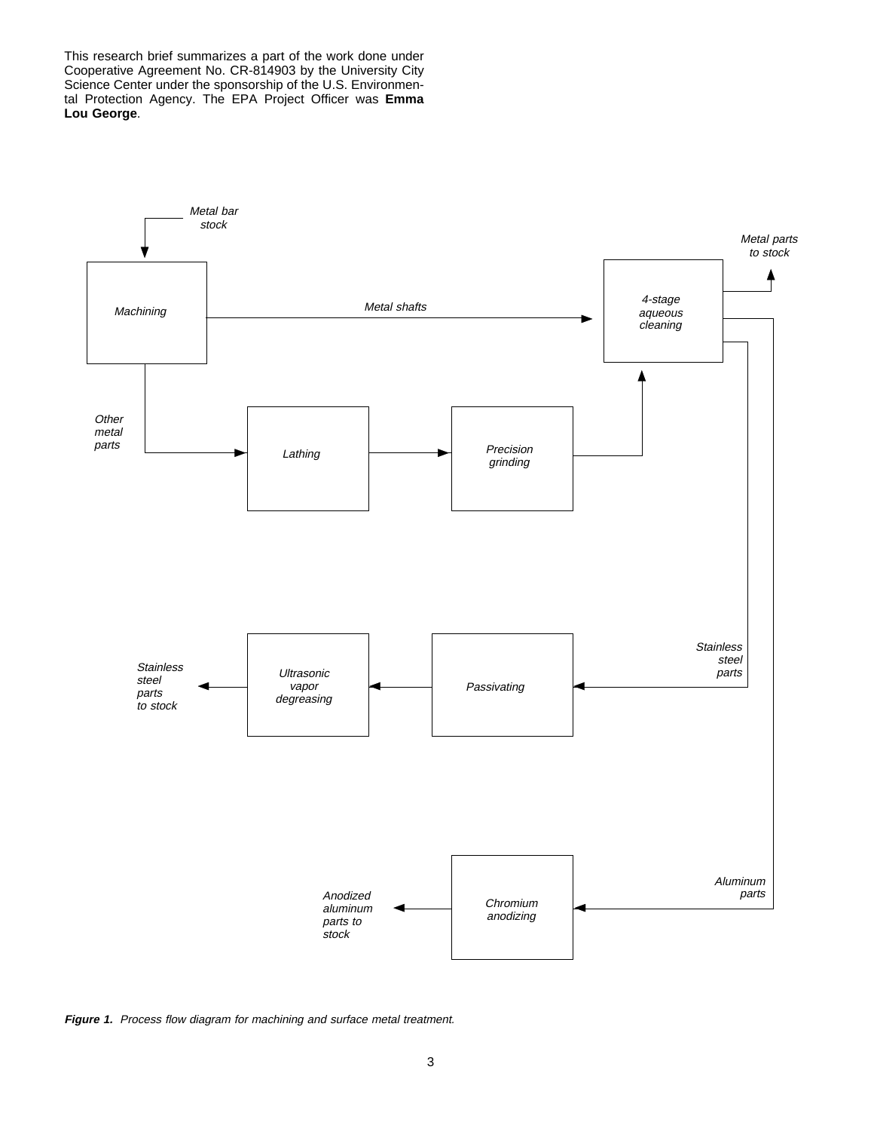This research brief summarizes a part of the work done under Cooperative Agreement No. CR-814903 by the University City Science Center under the sponsorship of the U.S. Environmental Protection Agency. The EPA Project Officer was **Emma Lou George**.



Figure 1. Process flow diagram for machining and surface metal treatment.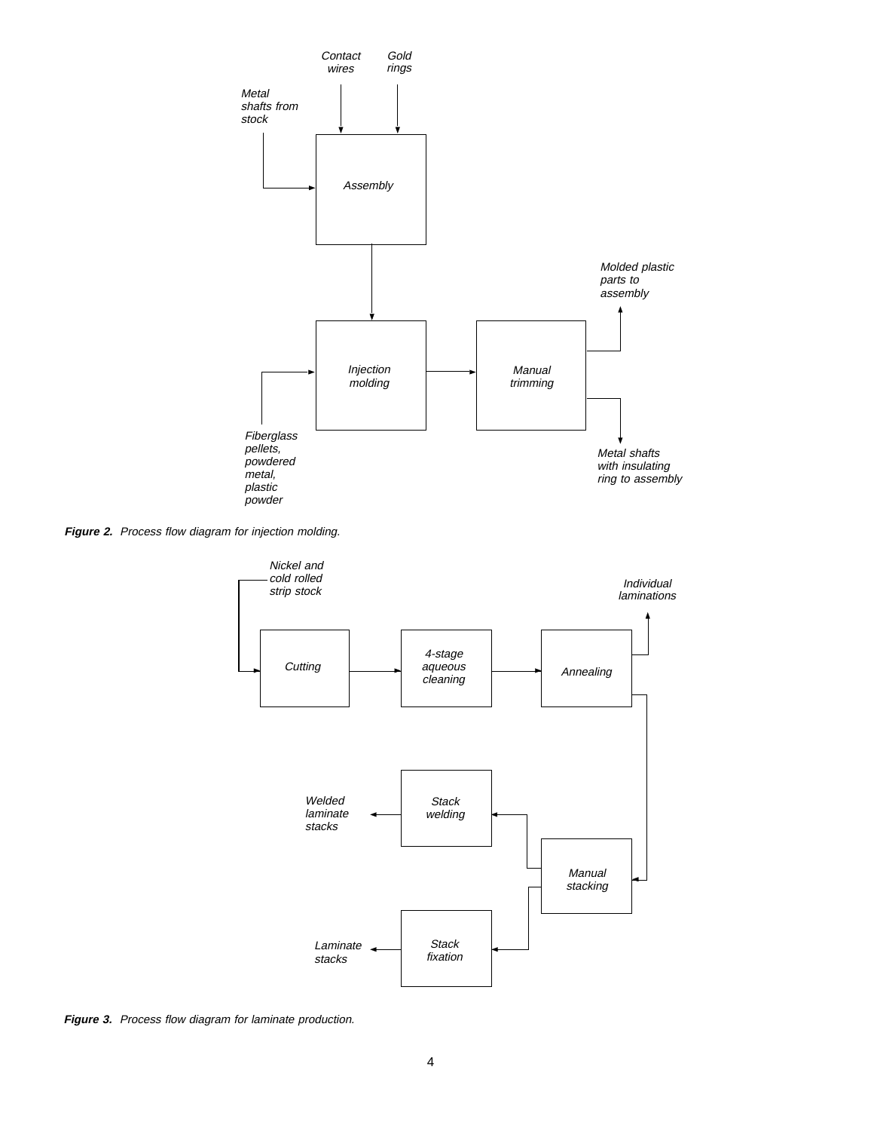

Figure 2. Process flow diagram for injection molding.



**Figure 3.** Process flow diagram for laminate production.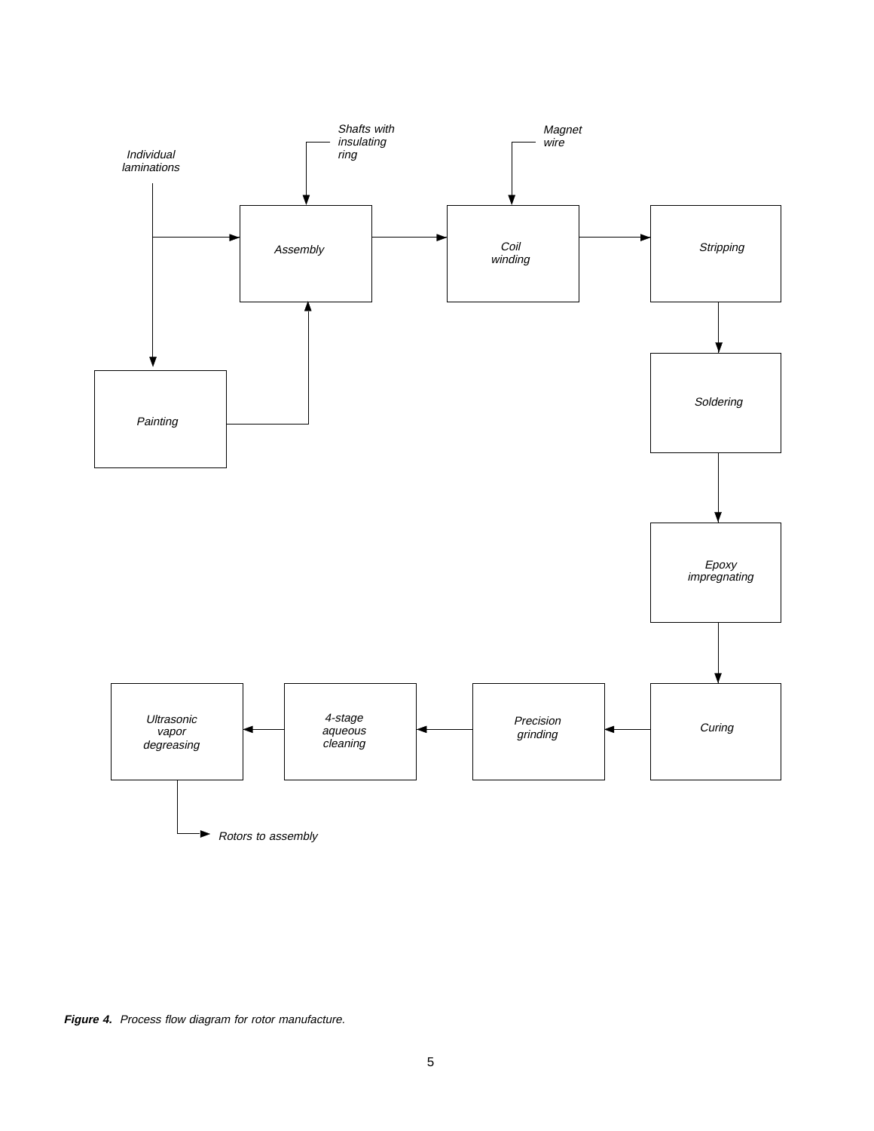

Figure 4. Process flow diagram for rotor manufacture.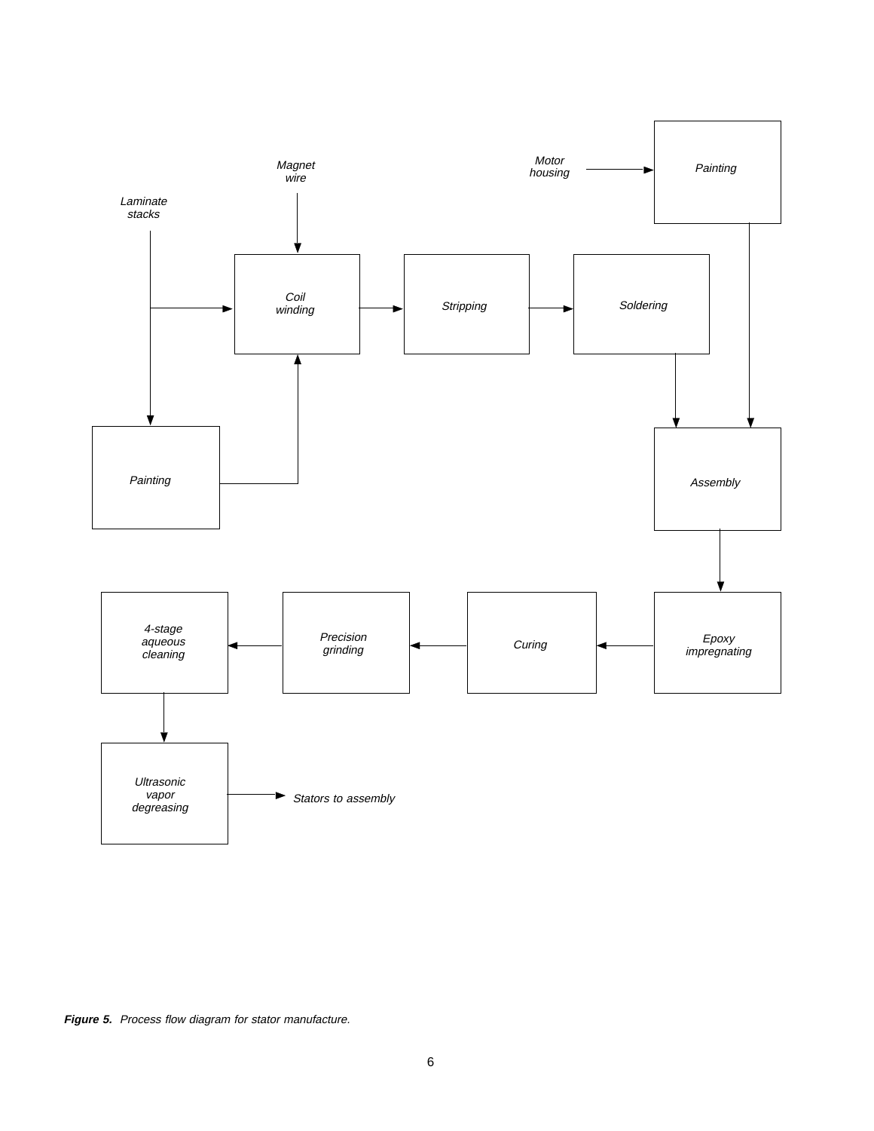

**Figure 5.** Process flow diagram for stator manufacture.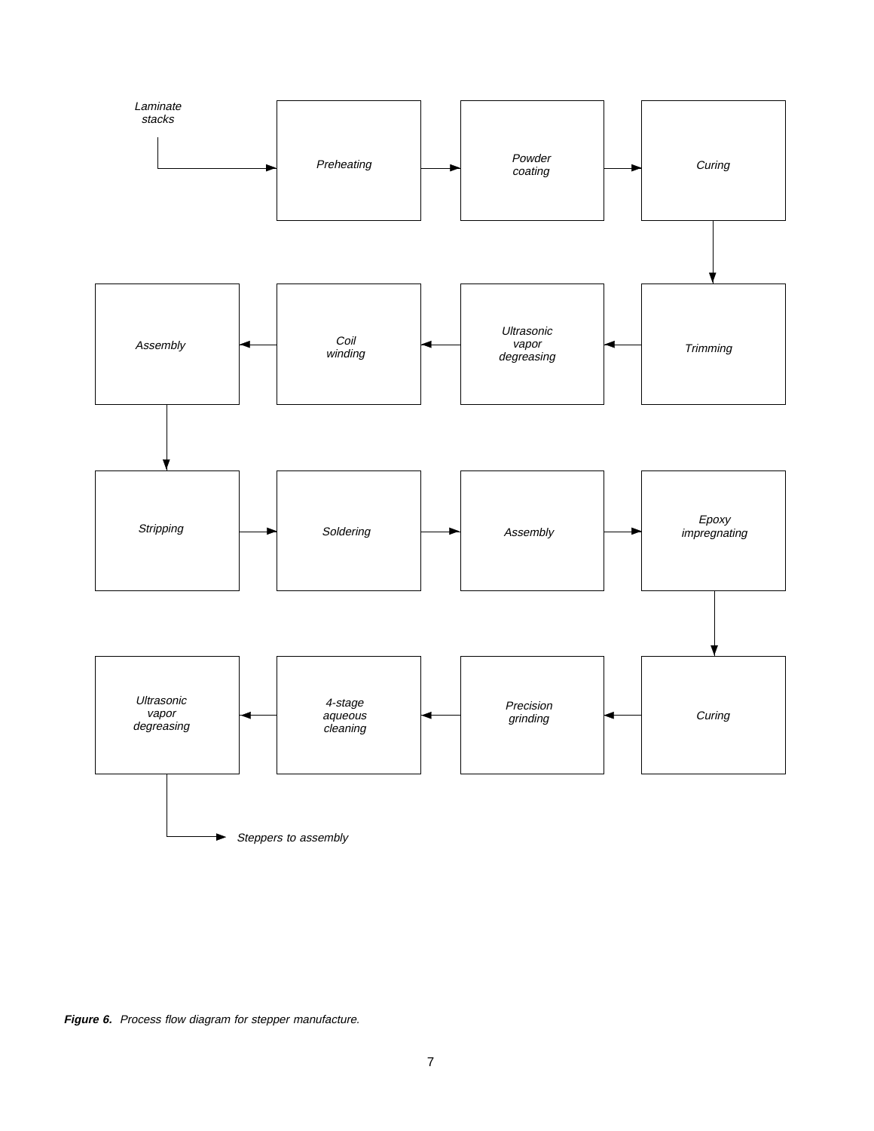

**Figure 6.** Process flow diagram for stepper manufacture.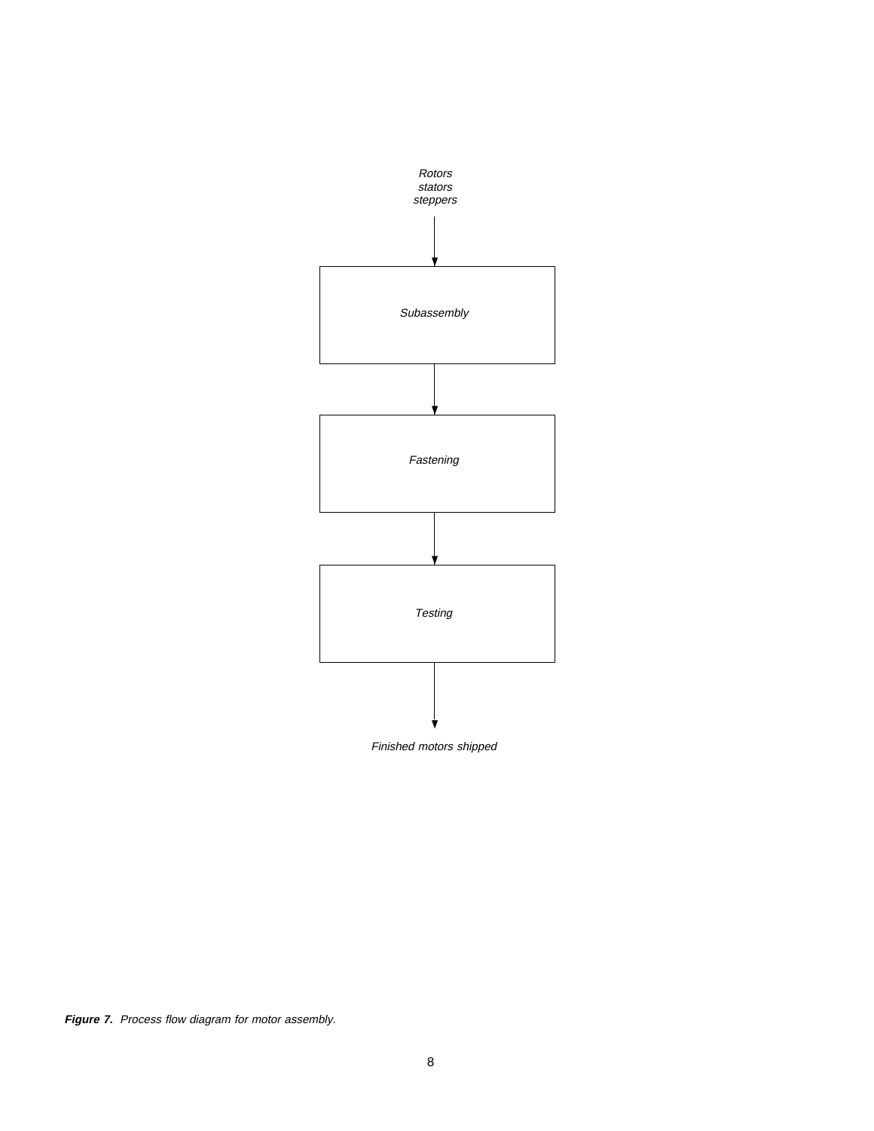

Finished motors shipped

**Figure 7.** Process flow diagram for motor assembly.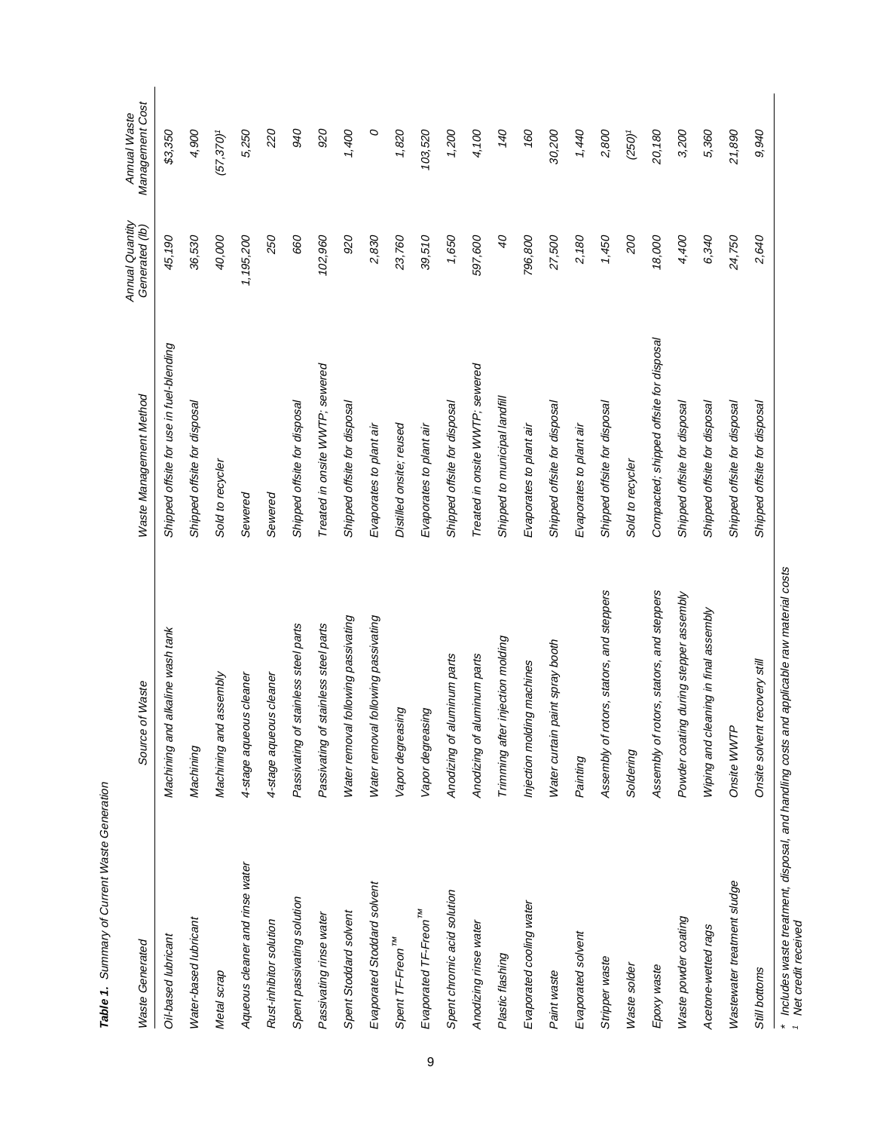| <b>Waste Generated</b>            | Source of Waste                           | Waste Management Method                  | Annual Quantity<br>Generated (lb) | Management Cost<br>Annual Waste |
|-----------------------------------|-------------------------------------------|------------------------------------------|-----------------------------------|---------------------------------|
| Oil-based lubricant               | Machining and alkaline wash tank          | Shipped offsite for use in fuel-blending | 45,190                            | \$3,350                         |
| Water-based lubricant             | Machining                                 | Shipped offsite for disposal             | 36,530                            | 4,900                           |
| Metal scrap                       | Machining and assembly                    | Sold to recycler                         | 40,000                            | $(57, 370)^t$                   |
| Aqueous cleaner and rinse water   | 4-stage aqueous cleaner                   | Sewered                                  | 1,195,200                         | 5,250                           |
| Rust-inhibitor solution           | 4-stage aqueous cleaner                   | Sewered                                  | 250                               | 220                             |
| Spent passivating solution        | Passivating of stainless steel parts      | Shipped offsite for disposal             | 660                               | 940                             |
| Passivating rinse water           | Passivating of stainless steel parts      | Treated in onsite WWTP; sewered          | 102,960                           | 920                             |
| Spent Stoddard solvent            | Water removal following passivating       | Shipped offsite for disposal             | 920                               | 1,400                           |
| Evaporated Stoddard solvent       | Water removal following passivating       | Evaporates to plant air                  | 2,830                             | O                               |
| Spent TF-Freon <sup>TM</sup>      | Vapor degreasing                          | Distilled onsite; reused                 | 23,760                            | 1,820                           |
| Evaporated TF-Freon <sup>TM</sup> | Vapor degreasing                          | Evaporates to plant air                  | 39,510                            | 103,520                         |
| Spent chromic acid solution       | Anodizing of aluminum parts               | Shipped offsite for disposal             | 1,650                             | 1,200                           |
| Anodizing rinse water             | Anodizing of aluminum parts               | Treated in onsite WWTP; sewered          | 597,600                           | 4,100                           |
| Plastic flashing                  | Trimming after injection molding          | Shipped to municipal landfill            | 9                                 | 140                             |
| Evaporated cooling water          | Injection molding machines                | Evaporates to plant air                  | 796,800                           | 160                             |
| Paint waste                       | Water curtain paint spray booth           | Shipped offsite for disposal             | 27,500                            | 30,200                          |
| Evaporated solvent                | Painting                                  | Evaporates to plant air                  | 2,180                             | 1,440                           |
| Stripper waste                    | Assembly of rotors, stators, and steppers | Shipped offsite for disposal             | 1,450                             | 2,800                           |
| Waste solder                      | Soldering                                 | Sold to recycler                         | 200                               | $(250)^{t}$                     |
| Epoxy waste                       | Assembly of rotors, stators, and steppers | Compacted; shipped offsite for disposal  | 18,000                            | 20,180                          |
| Waste powder coating              | Powder coating during stepper assembly    | Shipped offsite for disposal             | 4,400                             | 3,200                           |
| Acetone-wetted rags               | Wiping and cleaning in final assembly     | Shipped offsite for disposal             | 6,340                             | 5,360                           |
| Wastewater treatment sludge       | Onsite WWTP                               | Shipped offsite for disposal             | 24,750                            | 21,890                          |
| Still bottoms                     | recovery still<br>Onsite solvent          | Shipped offsite for disposal             | 2,640                             | 9,940                           |

Table 1. Summary of Current Waste Generation **Table 1.** Summary of Current Waste Generation

\* Includes waste treatment, disposal, and handling costs and applicable raw material costs \* Includes waste treatment, disposal, and handling costs and applicable raw material costs<br>1 Net credit received

Net credit received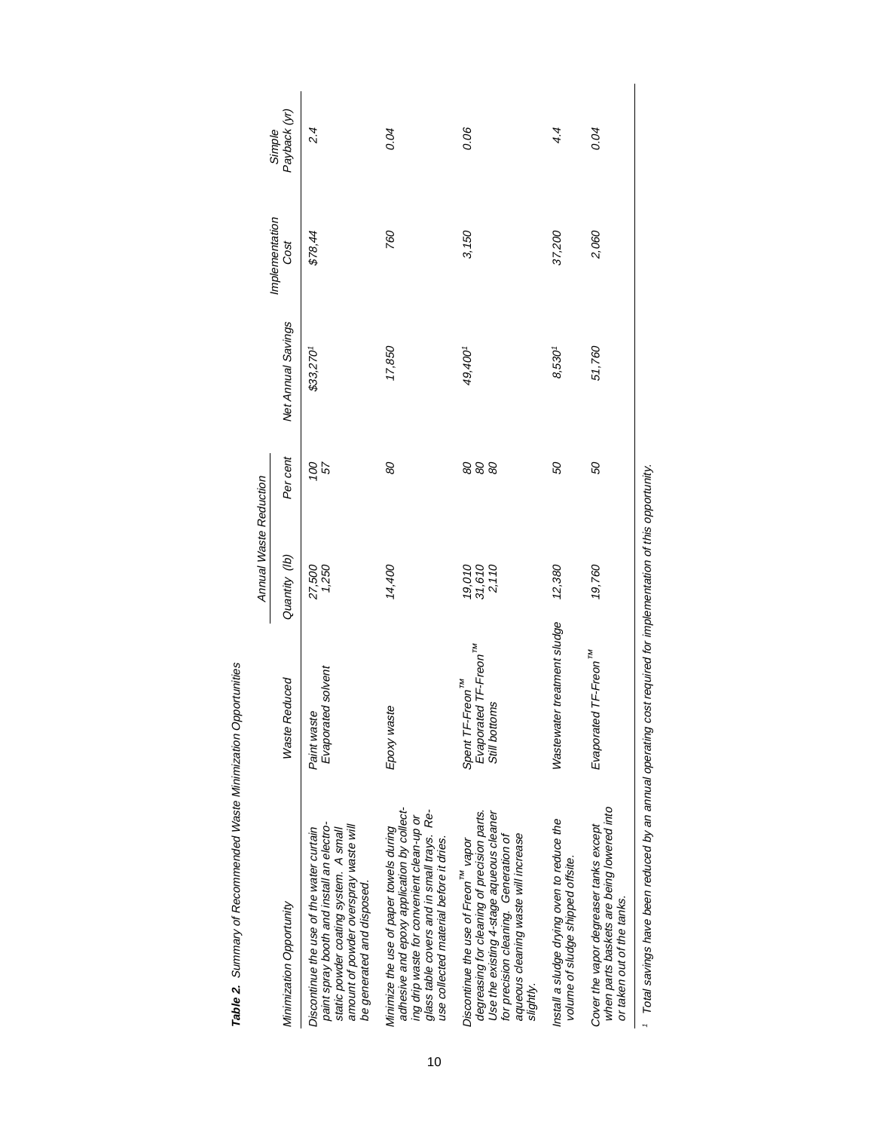|                                                                                                                                                                                                                                          |                                                                                    | Annual Waste Reduction    |           |                    |                        |                        |  |
|------------------------------------------------------------------------------------------------------------------------------------------------------------------------------------------------------------------------------------------|------------------------------------------------------------------------------------|---------------------------|-----------|--------------------|------------------------|------------------------|--|
| Minimization Opportunity                                                                                                                                                                                                                 | <b>Waste Reduced</b>                                                               | Quantity (lb)             | Per cent  | Net Annual Savings | Implementation<br>Cost | Simple<br>Payback (yr) |  |
| paint spray booth and install an electro-<br>amount of powder overspray waste will<br>Discontinue the use of the water curtain<br>static powder coating system. A small<br>be generated and disposed.                                    | Evaporated solvent<br>Paint waste                                                  | 27,500<br>1,250           | 100<br>57 | \$33,270'          | \$78,44                | 2.4                    |  |
| adhesive and epoxy application by collect-<br>glass table covers and in small trays. Re-<br>ing drip waste for convenient clean-up or<br>Minimize the use of paper towels during<br>use collected material before it dries.              | Epoxy waste                                                                        | 14,400                    | 80        | 17,850             | 760                    | 0.04                   |  |
| degreasing for cleaning of precision parts.<br>Use the existing 4-stage aqueous cleaner<br>aqueous cleaning waste will increase<br>for precision cleaning. Generation of<br>Discontinue the use of Freon <sup>™</sup> vapor<br>slightly. | Evaporated TF-Freon <sup>TM</sup><br>Spent TF-Freon <sup>TM</sup><br>Still bottoms | 19,010<br>31,610<br>2,110 | 888       | 49,400'            | 3,150                  | 0.06                   |  |
| Install a sludge drying oven to reduce the<br>volume of sludge shipped offsite.                                                                                                                                                          | Wastewater treatment sludge                                                        | 12,380                    | 99        | $8,530^{1}$        | 37,200                 | 4.4                    |  |
| when parts baskets are being lowered into<br>Cover the vapor degreaser tanks except<br>or taken out of the tanks.                                                                                                                        | Evaporated TF-Freon <sup>TM</sup>                                                  | 19,760                    | 50        | 51,760             | 2,060                  | 0.04                   |  |
|                                                                                                                                                                                                                                          |                                                                                    |                           |           |                    |                        |                        |  |

Table 2. Summary of Recommended Waste Minimization Opportunities **Table 2.** Summary of Recommended Waste Minimization Opportunities

10

1 Total savings have been reduced by an annual operating cost required for implementation of this opportunity. Total savings have been reduced by an annual operating cost required for implementation of this opportunity.